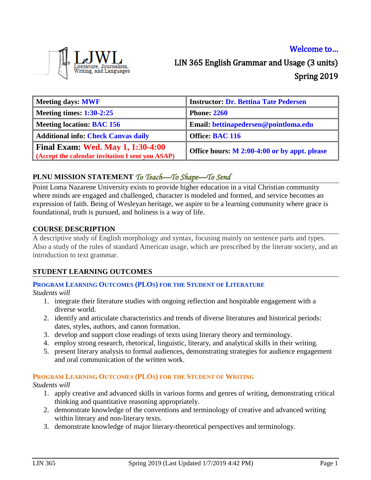# Encritence, Sourmansin,<br>Writing, and Languages

# Welcome to… LIN 365 English Grammar and Usage (3 units) Spring 2019

| <b>Meeting days: MWF</b>                                                                     | <b>Instructor: Dr. Bettina Tate Pedersen</b> |
|----------------------------------------------------------------------------------------------|----------------------------------------------|
| <b>Meeting times: 1:30-2:25</b>                                                              | <b>Phone: 2260</b>                           |
| <b>Meeting location: BAC 156</b>                                                             | Email: bettinapedersen@pointloma.edu         |
| <b>Additional info: Check Canvas daily</b>                                                   | Office: BAC 116                              |
| <b>Final Exam: Wed. May 1, 1:30-4:00</b><br>(Accept the calendar invitation I sent you ASAP) | Office hours: M 2:00-4:00 or by appt. please |

# **PLNU MISSION STATEMENT** *To Teach—To Shape—To Send*

Point Loma Nazarene University exists to provide higher education in a vital Christian community where minds are engaged and challenged, character is modeled and formed, and service becomes an expression of faith. Being of Wesleyan heritage, we aspire to be a learning community where grace is foundational, truth is pursued, and holiness is a way of life.

#### **COURSE DESCRIPTION**

A descriptive study of English morphology and syntax, focusing mainly on sentence parts and types. Also a study of the rules of standard American usage, which are prescribed by the literate society, and an introduction to text grammar.

### **STUDENT LEARNING OUTCOMES**

#### **PROGRAM LEARNING OUTCOMES (PLOS) FOR THE STUDENT OF LITERATURE**

*Students will*

- 1. integrate their literature studies with ongoing reflection and hospitable engagement with a diverse world.
- 2. identify and articulate characteristics and trends of diverse literatures and historical periods: dates, styles, authors, and canon formation.
- 3. develop and support close readings of texts using literary theory and terminology.
- 4. employ strong research, rhetorical, linguistic, literary, and analytical skills in their writing.
- 5. present literary analysis to formal audiences, demonstrating strategies for audience engagement and oral communication of the written work.

# **PROGRAM LEARNING OUTCOMES (PLOS) FOR THE STUDENT OF WRITING**

*Students will*

- 1. apply creative and advanced skills in various forms and genres of writing, demonstrating critical thinking and quantitative reasoning appropriately.
- 2. demonstrate knowledge of the conventions and terminology of creative and advanced writing within literary and non-literary texts.
- 3. demonstrate knowledge of major literary-theoretical perspectives and terminology.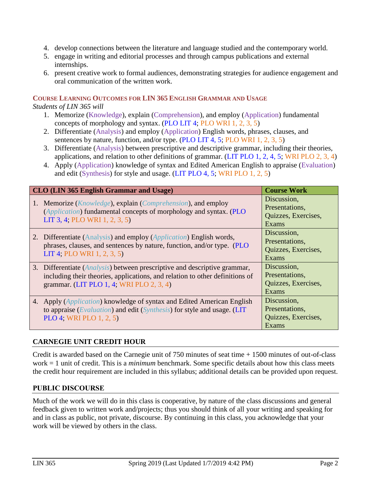- 4. develop connections between the literature and language studied and the contemporary world.
- 5. engage in writing and editorial processes and through campus publications and external internships.
- 6. present creative work to formal audiences, demonstrating strategies for audience engagement and oral communication of the written work.

#### **COURSE LEARNING OUTCOMES FOR LIN 365 ENGLISH GRAMMAR AND USAGE**

#### *Students of LIN 365 will*

- 1. Memorize (Knowledge), explain (Comprehension), and employ (Application) fundamental concepts of morphology and syntax. (PLO LIT 4; PLO WRI 1, 2, 3, 5)
- 2. Differentiate (Analysis) and employ (Application) English words, phrases, clauses, and sentences by nature, function, and/or type. (PLO LIT 4, 5; PLO WRI 1, 2, 3, 5)
- 3. Differentiate (Analysis) between prescriptive and descriptive grammar, including their theories, applications, and relation to other definitions of grammar. (LIT PLO 1, 2, 4, 5; WRI PLO 2, 3, 4)
- 4. Apply (Application) knowledge of syntax and Edited American English to appraise (Evaluation) and edit (Synthesis) for style and usage. (LIT PLO 4, 5; WRI PLO 1, 2, 5)

| CLO (LIN 365 English Grammar and Usage)                                            | <b>Course Work</b>  |
|------------------------------------------------------------------------------------|---------------------|
| 1. Memorize ( <i>Knowledge</i> ), explain ( <i>Comprehension</i> ), and employ     | Discussion,         |
| (Application) fundamental concepts of morphology and syntax. (PLO                  | Presentations,      |
| LIT 3, 4; PLO WRI 1, 2, 3, 5)                                                      | Quizzes, Exercises, |
|                                                                                    | Exams               |
| 2. Differentiate (Analysis) and employ (Application) English words,                | Discussion,         |
| phrases, clauses, and sentences by nature, function, and/or type. (PLO             | Presentations,      |
| LIT 4; PLO WRI 1, 2, 3, 5)                                                         | Quizzes, Exercises, |
|                                                                                    | Exams               |
| 3. Differentiate ( <i>Analysis</i> ) between prescriptive and descriptive grammar, | Discussion,         |
| including their theories, applications, and relation to other definitions of       | Presentations,      |
| grammar. (LIT PLO 1, 4; WRI PLO 2, 3, 4)                                           | Quizzes, Exercises, |
|                                                                                    | Exams               |
| 4. Apply ( <i>Application</i> ) knowledge of syntax and Edited American English    | Discussion,         |
| to appraise (Evaluation) and edit (Synthesis) for style and usage. (LIT            | Presentations,      |
| PLO 4; WRI PLO 1, 2, 5)                                                            | Quizzes, Exercises, |
|                                                                                    | Exams               |

### **CARNEGIE UNIT CREDIT HOUR**

Credit is awarded based on the Carnegie unit of 750 minutes of seat time + 1500 minutes of out-of-class work = 1 unit of credit. This is a *minimum* benchmark. Some specific details about how this class meets the credit hour requirement are included in this syllabus; additional details can be provided upon request.

#### **PUBLIC DISCOURSE**

Much of the work we will do in this class is cooperative, by nature of the class discussions and general feedback given to written work and/projects; thus you should think of all your writing and speaking for and in class as public, not private, discourse. By continuing in this class, you acknowledge that your work will be viewed by others in the class.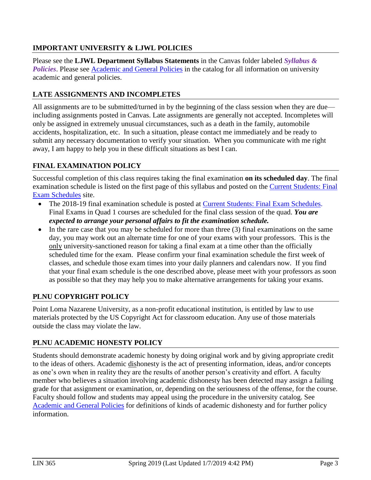# **IMPORTANT UNIVERSITY & LJWL POLICIES**

Please see the **LJWL Department Syllabus Statements** in the Canvas folder labeled *Syllabus & Policies*. Please see [Academic and General Policies](https://catalog.pointloma.edu/content.php?catoid=35&navoid=2136) in the catalog for all information on university academic and general policies.

# **LATE ASSIGNMENTS AND INCOMPLETES**

All assignments are to be submitted/turned in by the beginning of the class session when they are due including assignments posted in Canvas. Late assignments are generally not accepted. Incompletes will only be assigned in extremely unusual circumstances, such as a death in the family, automobile accidents, hospitalization, etc. In such a situation, please contact me immediately and be ready to submit any necessary documentation to verify your situation. When you communicate with me right away, I am happy to help you in these difficult situations as best I can.

# **FINAL EXAMINATION POLICY**

Successful completion of this class requires taking the final examination **on its scheduled day**. The final examination schedule is listed on the first page of this syllabus and posted on the [Current Students: Final](https://www.pointloma.edu/current-students)  [Exam Schedules](https://www.pointloma.edu/current-students) site.

- The 2018-19 final examination schedule is posted at [Current Students: Final Exam Schedules.](https://www.pointloma.edu/current-students) Final Exams in Quad 1 courses are scheduled for the final class session of the quad. *You are expected to arrange your personal affairs to fit the examination schedule.*
- $\bullet$  In the rare case that you may be scheduled for more than three (3) final examinations on the same day, you may work out an alternate time for one of your exams with your professors. This is the only university-sanctioned reason for taking a final exam at a time other than the officially scheduled time for the exam. Please confirm your final examination schedule the first week of classes, and schedule those exam times into your daily planners and calendars now. If you find that your final exam schedule is the one described above, please meet with your professors as soon as possible so that they may help you to make alternative arrangements for taking your exams.

# **PLNU COPYRIGHT POLICY**

Point Loma Nazarene University, as a non-profit educational institution, is entitled by law to use materials protected by the US Copyright Act for classroom education. Any use of those materials outside the class may violate the law.

### **PLNU ACADEMIC HONESTY POLICY**

Students should demonstrate academic honesty by doing original work and by giving appropriate credit to the ideas of others. Academic dishonesty is the act of presenting information, ideas, and/or concepts as one's own when in reality they are the results of another person's creativity and effort. A faculty member who believes a situation involving academic dishonesty has been detected may assign a failing grade for that assignment or examination, or, depending on the seriousness of the offense, for the course. Faculty should follow and students may appeal using the procedure in the university catalog. See [Academic and General Policies](https://catalog.pointloma.edu/content.php?catoid=35&navoid=2136) for definitions of kinds of academic dishonesty and for further policy information.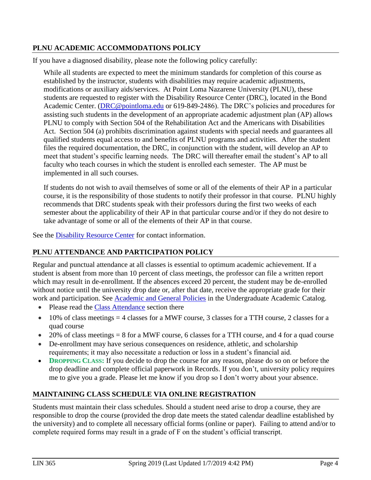# **PLNU ACADEMIC ACCOMMODATIONS POLICY**

If you have a diagnosed disability, please note the following policy carefully:

While all students are expected to meet the minimum standards for completion of this course as established by the instructor, students with disabilities may require academic adjustments, modifications or auxiliary aids/services. At Point Loma Nazarene University (PLNU), these students are requested to register with the Disability Resource Center (DRC), located in the Bond Academic Center. [\(DRC@pointloma.edu](mailto:DRC@pointloma.edu) or 619-849-2486). The DRC's policies and procedures for assisting such students in the development of an appropriate academic adjustment plan (AP) allows PLNU to comply with Section 504 of the Rehabilitation Act and the Americans with Disabilities Act. Section 504 (a) prohibits discrimination against students with special needs and guarantees all qualified students equal access to and benefits of PLNU programs and activities. After the student files the required documentation, the DRC, in conjunction with the student, will develop an AP to meet that student's specific learning needs. The DRC will thereafter email the student's AP to all faculty who teach courses in which the student is enrolled each semester. The AP must be implemented in all such courses.

If students do not wish to avail themselves of some or all of the elements of their AP in a particular course, it is the responsibility of those students to notify their professor in that course. PLNU highly recommends that DRC students speak with their professors during the first two weeks of each semester about the applicability of their AP in that particular course and/or if they do not desire to take advantage of some or all of the elements of their AP in that course.

See the [Disability Resource Center](http://www.pointloma.edu/experience/offices/administrative-offices/academic-advising-office/disability-resource-center) for contact information.

### **PLNU ATTENDANCE AND PARTICIPATION POLICY**

Regular and punctual attendance at all classes is essential to optimum academic achievement. If a student is absent from more than 10 percent of class meetings, the professor can file a written report which may result in de-enrollment. If the absences exceed 20 percent, the student may be de-enrolled without notice until the university drop date or, after that date, receive the appropriate grade for their work and participation. See [Academic and General Policies](https://catalog.pointloma.edu/content.php?catoid=35&navoid=2136) in the Undergraduate Academic Catalog.

- Please read the [Class Attendance](https://catalog.pointloma.edu/content.php?catoid=35&navoid=2136#Class_Attendance) section there
- $\bullet$  10% of class meetings = 4 classes for a MWF course, 3 classes for a TTH course, 2 classes for a quad course
- $\bullet$  20% of class meetings = 8 for a MWF course, 6 classes for a TTH course, and 4 for a quad course
- De-enrollment may have serious consequences on residence, athletic, and scholarship requirements; it may also necessitate a reduction or loss in a student's financial aid.
- **DROPPING CLASS:** If you decide to drop the course for any reason, please do so on or before the drop deadline and complete official paperwork in Records. If you don't, university policy requires me to give you a grade. Please let me know if you drop so I don't worry about your absence.

### **MAINTAINING CLASS SCHEDULE VIA ONLINE REGISTRATION**

Students must maintain their class schedules. Should a student need arise to drop a course, they are responsible to drop the course (provided the drop date meets the stated calendar deadline established by the university) and to complete all necessary official forms (online or paper). Failing to attend and/or to complete required forms may result in a grade of F on the student's official transcript.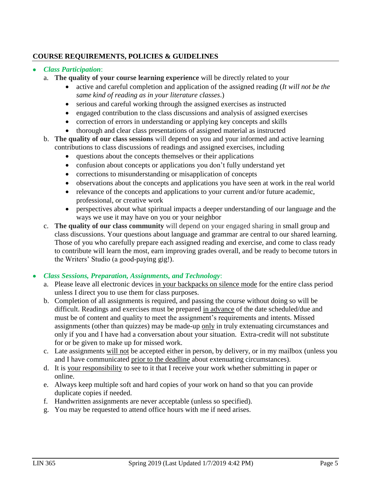# **COURSE REQUIREMENTS, POLICIES & GUIDELINES**

#### *Class Participation*:

- a. **The quality of your course learning experience** will be directly related to your
	- active and careful completion and application of the assigned reading (*It will not be the same kind of reading as in your literature classes*.)
	- serious and careful working through the assigned exercises as instructed
	- engaged contribution to the class discussions and analysis of assigned exercises
	- correction of errors in understanding or applying key concepts and skills
	- thorough and clear class presentations of assigned material as instructed
- b. **The quality of our class sessions** will depend on you and your informed and active learning contributions to class discussions of readings and assigned exercises, including
	- questions about the concepts themselves or their applications
	- confusion about concepts or applications you don't fully understand yet
	- corrections to misunderstanding or misapplication of concepts
	- observations about the concepts and applications you have seen at work in the real world
	- relevance of the concepts and applications to your current and/or future academic, professional, or creative work
	- perspectives about what spiritual impacts a deeper understanding of our language and the ways we use it may have on you or your neighbor
- c. **The quality of our class community** will depend on your engaged sharing in small group and class discussions. Your questions about language and grammar are central to our shared learning. Those of you who carefully prepare each assigned reading and exercise, and come to class ready to contribute will learn the most, earn improving grades overall, and be ready to become tutors in the Writers' Studio (a good-paying gig!).

#### *Class Sessions, Preparation, Assignments, and Technology*:

- a. Please leave all electronic devices in your backpacks on silence mode for the entire class period unless I direct you to use them for class purposes.
- b. Completion of all assignments is required, and passing the course without doing so will be difficult. Readings and exercises must be prepared in advance of the date scheduled/due and must be of content and quality to meet the assignment's requirements and intents. Missed assignments (other than quizzes) may be made-up only in truly extenuating circumstances and only if you and I have had a conversation about your situation. Extra-credit will not substitute for or be given to make up for missed work.
- c. Late assignments will not be accepted either in person, by delivery, or in my mailbox (unless you and I have communicated prior to the deadline about extenuating circumstances).
- d. It is your responsibility to see to it that I receive your work whether submitting in paper or online.
- e. Always keep multiple soft and hard copies of your work on hand so that you can provide duplicate copies if needed.
- f. Handwritten assignments are never acceptable (unless so specified).
- g. You may be requested to attend office hours with me if need arises.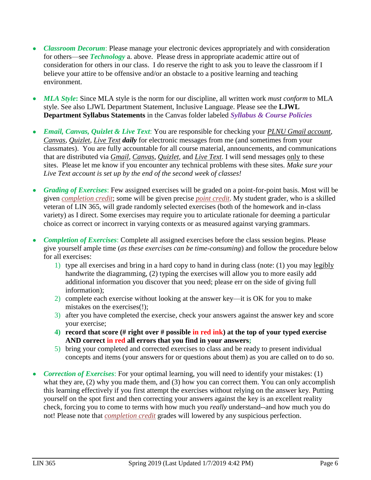- *Classroom Decorum*: Please manage your electronic devices appropriately and with consideration for others—see *Technology* a. above. Please dress in appropriate academic attire out of consideration for others in our class. I do reserve the right to ask you to leave the classroom if I believe your attire to be offensive and/or an obstacle to a positive learning and teaching environment.
- *MLA Style***:** Since MLA style is the norm for our discipline, all written work *must conform* to MLA style. See also LJWL Department Statement, Inclusive Language. Please see the **LJWL Department Syllabus Statements** in the Canvas folder labeled *Syllabus & Course Policies*
- *Email, Canvas, Quizlet & Live Text*: You are responsible for checking your *PLNU Gmail account*, *Canvas*, *Quizlet*, *Live Text daily* for electronic messages from me (and sometimes from your classmates). You are fully accountable for all course material, announcements, and communications that are distributed via *Gmail*, *Canvas*, *Quizlet*, and *Live Text*. I will send messages only to these sites. Please let me know if you encounter any technical problems with these sites. *Make sure your Live Text account is set up by the end of the second week of classes!*
- *Grading of Exercises*: Few assigned exercises will be graded on a point-for-point basis. Most will be given *completion credit*; some will be given precise *point credit*. My student grader, who is a skilled veteran of LIN 365, will grade randomly selected exercises (both of the homework and in-class variety) as I direct. Some exercises may require you to articulate rationale for deeming a particular choice as correct or incorrect in varying contexts or as measured against varying grammars.
- *Completion of Exercises*: Complete all assigned exercises before the class session begins. Please give yourself ample time (*as these exercises can be time-consuming*) and follow the procedure below for all exercises:
	- 1) type all exercises and bring in a hard copy to hand in during class (note: (1) you may legibly handwrite the diagramming, (2) typing the exercises will allow you to more easily add additional information you discover that you need; please err on the side of giving full information);
	- 2) complete each exercise without looking at the answer key—it is OK for you to make mistakes on the exercises(!);
	- 3) after you have completed the exercise, check your answers against the answer key and score your exercise;
	- **4) record that score (# right over # possible in red ink) at the top of your typed exercise AND correct in red all errors that you find in your answers;**
	- 5) bring your completed and corrected exercises to class and be ready to present individual concepts and items (your answers for or questions about them) as you are called on to do so.
- *Correction of Exercises*: For your optimal learning, you will need to identify your mistakes: (1) what they are, (2) why you made them, and (3) how you can correct them. You can only accomplish this learning effectively if you first attempt the exercises without relying on the answer key. Putting yourself on the spot first and then correcting your answers against the key is an excellent reality check, forcing you to come to terms with how much you *really* understand--and how much you do not! Please note that *completion credit* grades will lowered by any suspicious perfection.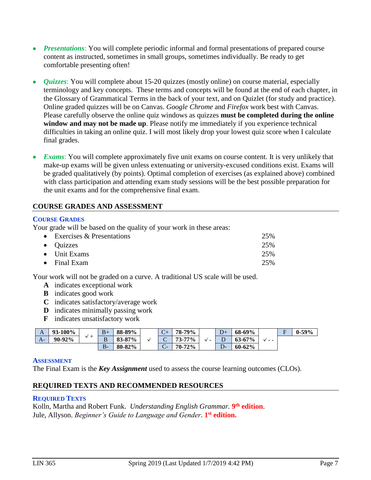- *Presentations*: You will complete periodic informal and formal presentations of prepared course content as instructed, sometimes in small groups, sometimes individually. Be ready to get comfortable presenting often!
- *Quizzes*: You will complete about 15-20 quizzes (mostly online) on course material, especially terminology and key concepts. These terms and concepts will be found at the end of each chapter, in the Glossary of Grammatical Terms in the back of your text, and on Quizlet (for study and practice). Online graded quizzes will be on Canvas. *Google Chrome* and *Firefox* work best with Canvas. Please carefully observe the online quiz windows as quizzes **must be completed during the online window and may not be made up**. Please notify me immediately if you experience technical difficulties in taking an online quiz. I will most likely drop your lowest quiz score when I calculate final grades.
- *Exams:* You will complete approximately five unit exams on course content. It is very unlikely that make-up exams will be given unless extenuating or university-excused conditions exist. Exams will be graded qualitatively (by points). Optimal completion of exercises (as explained above) combined with class participation and attending exam study sessions will be the best possible preparation for the unit exams and for the comprehensive final exam.

### **COURSE GRADES AND ASSESSMENT**

### **COURSE GRADES**

Your grade will be based on the quality of your work in these areas:

| • Exercises $&$ Presentations | 25% |
|-------------------------------|-----|
| $\bullet$ Quizzes             | 25% |
| $\bullet$ Unit Exams          | 25% |
| $\bullet$ Final Exam          | 25% |

Your work will not be graded on a curve. A traditional US scale will be used.

- **A** indicates exceptional work
- **B** indicates good work
- **C** indicates satisfactory/average work
- **D** indicates minimally passing work
- **F** indicates unsatisfactory work

| A    | <b>93-100%</b> | ᅩ | $B+$ | 88-89%       | $\sqrt{2}$<br>$\mathsf{C}\mathsf{F}$ | 79%<br>78-.     |                          |   | 68-69%     |      | $\blacksquare$ | 59%<br>v- |
|------|----------------|---|------|--------------|--------------------------------------|-----------------|--------------------------|---|------------|------|----------------|-----------|
| $A-$ | 90-92%         |   | B    | 87%<br>83-87 | ◡                                    | 77%<br>73-      | $\overline{\phantom{a}}$ | ◡ | $63 - 67%$ | $ -$ |                |           |
|      |                |   | В.   | 80-82%       | $\sqrt{ }$<br>-<br>$\check{ }$       | $72\%$<br>$70-$ |                          | æ | $60 - 62%$ |      |                |           |

#### **ASSESSMENT**

The Final Exam is the *Key Assignment* used to assess the course learning outcomes (CLOs).

### **REQUIRED TEXTS AND RECOMMENDED RESOURCES**

#### **REQUIRED TEXTS**

Kolln, Martha and Robert Funk. *Understanding English Grammar.* **9 th edition**. Jule, Allyson. *Beginner's Guide to Language and Gender*. **1 st edition.**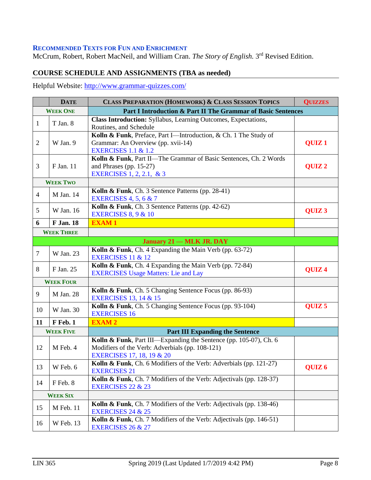#### **RECOMMENDED TEXTS FOR FUN AND ENRICHMENT**

McCrum, Robert, Robert MacNeil, and William Cran. *The Story of English*. 3<sup>rd</sup> Revised Edition.

# **COURSE SCHEDULE AND ASSIGNMENTS (TBA as needed)**

Helpful Website:<http://www.grammar-quizzes.com/>

| <b>DATE</b>     |                   | <b>CLASS PREPARATION (HOMEWORK) &amp; CLASS SESSION TOPICS</b>                                                                                               | <b>QUIZZES</b>    |
|-----------------|-------------------|--------------------------------------------------------------------------------------------------------------------------------------------------------------|-------------------|
| <b>WEEK ONE</b> |                   | Part I Introduction & Part II The Grammar of Basic Sentences                                                                                                 |                   |
| 1               | T Jan. 8          | Class Introduction: Syllabus, Learning Outcomes, Expectations,<br>Routines, and Schedule                                                                     |                   |
| $\overline{2}$  | W Jan. 9          | Kolln & Funk, Preface, Part I-Introduction, & Ch. 1 The Study of<br>Grammar: An Overview (pp. xvii-14)<br><b>EXERCISES 1.1 &amp; 1.2</b>                     | QUIZ <sub>1</sub> |
| 3               | F Jan. 11         | Kolln & Funk, Part II-The Grammar of Basic Sentences, Ch. 2 Words<br>and Phrases (pp. $15-27$ )<br>EXERCISES 1, 2, 2.1, & 3                                  | QUIZ <sub>2</sub> |
|                 | <b>WEEK TWO</b>   |                                                                                                                                                              |                   |
| $\overline{4}$  | M Jan. 14         | Kolln & Funk, Ch. 3 Sentence Patterns (pp. 28-41)<br><b>EXERCISES 4, 5, 6 &amp; 7</b>                                                                        |                   |
| 5               | W Jan. 16         | Kolln & Funk, Ch. 3 Sentence Patterns (pp. 42-62)<br><b>EXERCISES 8, 9 &amp; 10</b>                                                                          | QUIZ <sub>3</sub> |
| 6               | <b>F</b> Jan. 18  | <b>EXAM1</b>                                                                                                                                                 |                   |
|                 | <b>WEEK THREE</b> |                                                                                                                                                              |                   |
|                 |                   | <b>January 21 – MLK JR. DAY</b>                                                                                                                              |                   |
| $\tau$          | W Jan. 23         | Kolln & Funk, Ch. 4 Expanding the Main Verb (pp. 63-72)<br>EXERCISES 11 & 12                                                                                 |                   |
| 8               | F Jan. 25         | Kolln & Funk, Ch. 4 Expanding the Main Verb (pp. 72-84)<br><b>EXERCISES Usage Matters: Lie and Lay</b>                                                       | QUIZ <sub>4</sub> |
|                 | <b>WEEK FOUR</b>  |                                                                                                                                                              |                   |
| 9               | M Jan. 28         | Kolln & Funk, Ch. 5 Changing Sentence Focus (pp. 86-93)<br><b>EXERCISES 13, 14 &amp; 15</b>                                                                  |                   |
| 10              | W Jan. 30         | Kolln & Funk, Ch. 5 Changing Sentence Focus (pp. 93-104)<br><b>EXERCISES 16</b>                                                                              | QUIZ <sub>5</sub> |
| 11              | F Feb. 1          | <b>EXAM2</b>                                                                                                                                                 |                   |
|                 | <b>WEEK FIVE</b>  | <b>Part III Expanding the Sentence</b>                                                                                                                       |                   |
| 12              | M Feb. 4          | Kolln & Funk, Part III—Expanding the Sentence (pp. 105-07), Ch. 6<br>Modifiers of the Verb: Adverbials (pp. 108-121)<br><b>EXERCISES 17, 18, 19 &amp; 20</b> |                   |
| 13              | W Feb. 6          | Kolln & Funk, Ch. 6 Modifiers of the Verb: Adverbials (pp. 121-27)<br><b>EXERCISES 21</b>                                                                    | QUIZ <sub>6</sub> |
| 14              | F Feb. 8          | Kolln & Funk, Ch. 7 Modifiers of the Verb: Adjectivals (pp. 128-37)<br><b>EXERCISES 22 &amp; 23</b>                                                          |                   |
|                 | <b>WEEK SIX</b>   |                                                                                                                                                              |                   |
| 15              | M Feb. 11         | Kolln & Funk, Ch. 7 Modifiers of the Verb: Adjectivals (pp. 138-46)<br><b>EXERCISES 24 &amp; 25</b>                                                          |                   |
| 16              | W Feb. 13         | Kolln & Funk, Ch. 7 Modifiers of the Verb: Adjectivals (pp. 146-51)<br><b>EXERCISES 26 &amp; 27</b>                                                          |                   |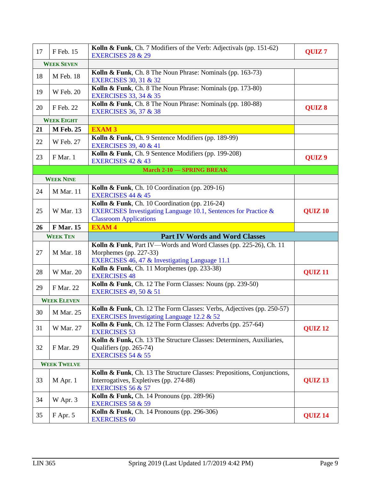| 17 | F Feb. 15          | Kolln & Funk, Ch. 7 Modifiers of the Verb: Adjectivals (pp. 151-62)<br><b>EXERCISES 28 &amp; 29</b>                                                | QUIZ <sub>7</sub>  |
|----|--------------------|----------------------------------------------------------------------------------------------------------------------------------------------------|--------------------|
|    | <b>WEEK SEVEN</b>  |                                                                                                                                                    |                    |
| 18 | M Feb. 18          | Kolln & Funk, Ch. 8 The Noun Phrase: Nominals (pp. 163-73)<br><b>EXERCISES 30, 31 &amp; 32</b>                                                     |                    |
| 19 | <b>W</b> Feb. 20   | Kolln & Funk, Ch. 8 The Noun Phrase: Nominals (pp. 173-80)<br><b>EXERCISES 33, 34 &amp; 35</b>                                                     |                    |
| 20 | F Feb. 22          | Kolln & Funk, Ch. 8 The Noun Phrase: Nominals (pp. 180-88)<br><b>EXERCISES 36, 37 &amp; 38</b>                                                     | QUIZ 8             |
|    | <b>WEEK EIGHT</b>  |                                                                                                                                                    |                    |
| 21 | <b>M</b> Feb. 25   | <b>EXAM 3</b>                                                                                                                                      |                    |
| 22 | W Feb. 27          | Kolln & Funk, Ch. 9 Sentence Modifiers (pp. 189-99)<br><b>EXERCISES 39, 40 &amp; 41</b>                                                            |                    |
| 23 | F Mar. 1           | Kolln & Funk, Ch. 9 Sentence Modifiers (pp. 199-208)<br><b>EXERCISES 42 &amp; 43</b>                                                               | QUIZ <sub>9</sub>  |
|    |                    | <b>March 2-10 - SPRING BREAK</b>                                                                                                                   |                    |
|    | <b>WEEK NINE</b>   |                                                                                                                                                    |                    |
| 24 | <b>M</b> Mar. 11   | Kolln & Funk, Ch. 10 Coordination (pp. 209-16)<br><b>EXERCISES 44 &amp; 45</b>                                                                     |                    |
| 25 | W Mar. 13          | Kolln & Funk, Ch. 10 Coordination (pp. 216-24)<br>EXERCISES Investigating Language 10.1, Sentences for Practice &<br><b>Classroom Applications</b> | <b>QUIZ 10</b>     |
| 26 | <b>F</b> Mar. 15   | <b>EXAM4</b>                                                                                                                                       |                    |
|    | <b>WEEK TEN</b>    |                                                                                                                                                    |                    |
|    |                    | <b>Part IV Words and Word Classes</b>                                                                                                              |                    |
| 27 | <b>M</b> Mar. 18   | Kolln & Funk, Part IV—Words and Word Classes (pp. 225-26), Ch. 11<br>Morphemes (pp. 227-33)                                                        |                    |
| 28 | <b>W</b> Mar. 20   | EXERCISES 46, 47 & Investigating Language 11.1<br>Kolln & Funk, Ch. 11 Morphemes (pp. 233-38)                                                      | <b>QUIZ11</b>      |
| 29 | F Mar. 22          | <b>EXERCISES 48</b><br>Kolln & Funk, Ch. 12 The Form Classes: Nouns (pp. 239-50)<br><b>EXERCISES 49, 50 &amp; 51</b>                               |                    |
|    | <b>WEEK ELEVEN</b> |                                                                                                                                                    |                    |
| 30 | M Mar. 25          | Kolln & Funk, Ch. 12 The Form Classes: Verbs, Adjectives (pp. 250-57)<br>EXERCISES Investigating Language 12.2 & 52                                |                    |
| 31 | W Mar. 27          | Kolln & Funk, Ch. 12 The Form Classes: Adverbs (pp. 257-64)<br><b>EXERCISES 53</b>                                                                 | QUIZ <sub>12</sub> |
| 32 | F Mar. 29          | Kolln & Funk, Ch. 13 The Structure Classes: Determiners, Auxiliaries,<br>Qualifiers (pp. 265-74)<br><b>EXERCISES 54 &amp; 55</b>                   |                    |
|    | <b>WEEK TWELVE</b> |                                                                                                                                                    |                    |
| 33 | M Apr. 1           | Kolln & Funk, Ch. 13 The Structure Classes: Prepositions, Conjunctions,<br>Interrogatives, Expletives (pp. 274-88)<br><b>EXERCISES 56 &amp; 57</b> | QUIZ <sub>13</sub> |
| 34 | W Apr. 3           | Kolln & Funk, Ch. 14 Pronouns (pp. 289-96)<br><b>EXERCISES 58 &amp; 59</b>                                                                         |                    |